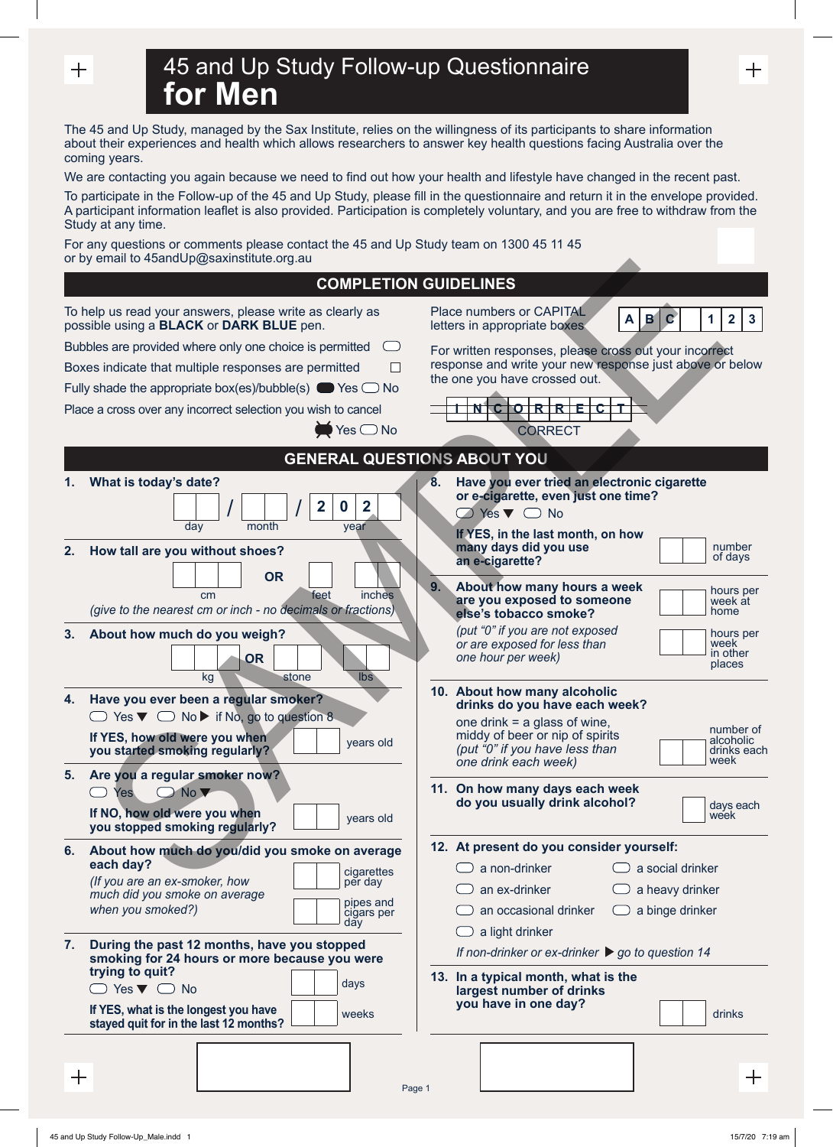$^{+}$ 

| 45 and Up Study Follow-up Questionnaire |  |
|-----------------------------------------|--|
| <b>for Men</b>                          |  |

The 45 and Up Study, managed by the Sax Institute, relies on the willingness of its participants to share information about their experiences and health which allows researchers to answer key health questions facing Australia over the coming years.

We are contacting you again because we need to find out how your health and lifestyle have changed in the recent past.

To participate in the Follow-up of the 45 and Up Study, please fill in the questionnaire and return it in the envelope provided. A participant information leaflet is also provided. Participation is completely voluntary, and you are free to withdraw from the Study at any time.

For any questions or comments please contact the 45 and Up Study team on 1300 45 11 45 or by email to 45andUp@saxinstitute.org.au

| or by email to 45andUp@saxinstitute.org.au                                                                                                                                                                                                                                 |                                                                                                                                                                                                                                               |
|----------------------------------------------------------------------------------------------------------------------------------------------------------------------------------------------------------------------------------------------------------------------------|-----------------------------------------------------------------------------------------------------------------------------------------------------------------------------------------------------------------------------------------------|
|                                                                                                                                                                                                                                                                            | <b>COMPLETION GUIDELINES</b>                                                                                                                                                                                                                  |
| To help us read your answers, please write as clearly as<br>possible using a <b>BLACK</b> or DARK BLUE pen.                                                                                                                                                                | Place numbers or CAPITAL<br>B<br>1<br>$\mathbf{2}$<br>$\mathsf{A}$<br>$\mathbf C$<br>3<br>letters in appropriate boxes                                                                                                                        |
| Bubbles are provided where only one choice is permitted<br>Boxes indicate that multiple responses are permitted<br>Fully shade the appropriate box(es)/bubble(s) $\bullet$ Yes $\circ$ No<br>Place a cross over any incorrect selection you wish to cancel<br>$Yes \no$ No | For written responses, please cross out your incorrect<br>response and write your new response just above or below<br>the one you have crossed out.<br>ORREC<br><b>CORRECT</b>                                                                |
|                                                                                                                                                                                                                                                                            | <b>GENERAL QUESTIONS ABOUT YOU</b>                                                                                                                                                                                                            |
| What is today's date?<br>$\mathbf{2}$<br>$\overline{2}$<br>$\mathbf 0$<br>day<br>month<br>year                                                                                                                                                                             | Have you ever tried an electronic cigarette<br>8.<br>or e-cigarette, even just one time?<br>$\bigcirc$ Yes $\blacktriangledown$ O No<br>If YES, in the last month, on how                                                                     |
| 2.<br>How tall are you without shoes?<br><b>OR</b><br>inches<br>feet<br>cm<br>(give to the nearest cm or inch - no decimals or fractions)                                                                                                                                  | number<br>many days did you use<br>of days<br>an e-cigarette?<br>9.<br>About how many hours a week<br>hours per<br>are you exposed to someone<br>week át<br>home<br>else's tobacco smoke?                                                     |
| About how much do you weigh?<br>3.<br><b>OR</b><br>kg<br>Ibs<br>stone                                                                                                                                                                                                      | (put "0" if you are not exposed<br>hours per<br>or are exposed for less than<br>week<br>in other<br>one hour per week)<br>places                                                                                                              |
| Have you ever been a regular smoker?<br>4.<br>$\Box$ Yes $\nabla$ $\Box$ No $\nabla$ if No, go to question 8<br>If YES, how old were you when<br>years old<br>you started smoking regularly?                                                                               | 10. About how many alcoholic<br>drinks do you have each week?<br>one drink $=$ a glass of wine,<br>number of<br>middy of beer or nip of spirits<br>alcoholic<br>(put "0" if you have less than<br>drinks each<br>week<br>one drink each week) |
| Are you a regular smoker now?<br>5.<br>No V<br>Yes<br>If NO, how old were you when<br>years old<br>you stopped smoking regularly?                                                                                                                                          | 11. On how many days each week<br>do you usually drink alcohol?<br>days each<br>week                                                                                                                                                          |
| About how much do you/did you smoke on average<br>6.<br>each day?<br>cigarettes<br>(If you are an ex-smoker, how<br>per day<br>much did you smoke on average<br>pipes and<br>when you smoked?)<br>cigars per<br>day                                                        | 12. At present do you consider yourself:<br>$\Box$ a non-drinker<br>a social drinker<br>an ex-drinker<br>a heavy drinker<br>an occasional drinker<br>a binge drinker<br>a light drinker                                                       |
| During the past 12 months, have you stopped<br>7.<br>smoking for 24 hours or more because you were<br>trying to quit?<br>days<br>$\Box$ Yes $\nabla$ $\Box$ No<br>If YES, what is the longest you have<br>weeks<br>stayed quit for in the last 12 months?                  | If non-drinker or ex-drinker $\triangleright$ go to question 14<br>13. In a typical month, what is the<br>largest number of drinks<br>you have in one day?<br>drinks                                                                          |
| ╅                                                                                                                                                                                                                                                                          | 十<br>Page 1                                                                                                                                                                                                                                   |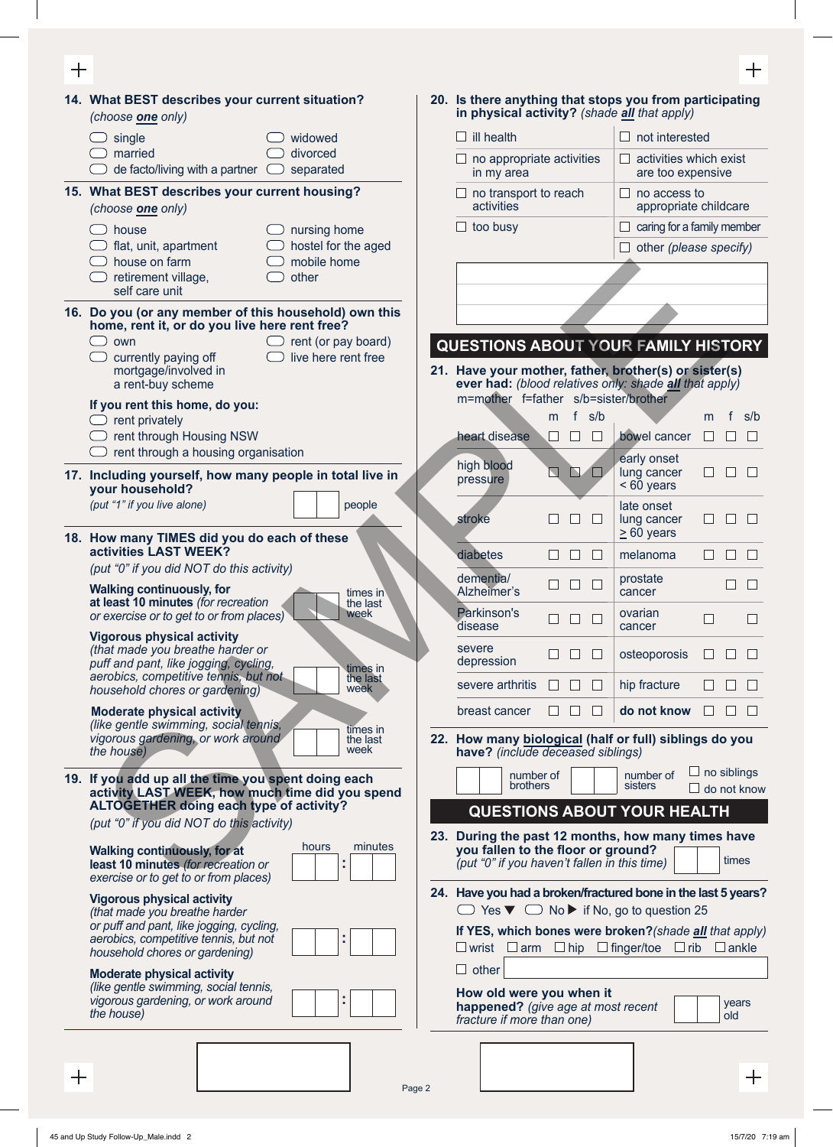| ╅            |                                                                                                                     |                                    |                                                                                                                            |                               |                                                                 | $\pm$                                    |
|--------------|---------------------------------------------------------------------------------------------------------------------|------------------------------------|----------------------------------------------------------------------------------------------------------------------------|-------------------------------|-----------------------------------------------------------------|------------------------------------------|
|              | 14. What BEST describes your current situation?<br>(choose one only)                                                |                                    | 20. Is there anything that stops you from participating<br>in physical activity? (shade all that apply)                    |                               |                                                                 |                                          |
|              | single                                                                                                              | widowed                            | $\Box$ ill health                                                                                                          |                               | $\Box$ not interested                                           |                                          |
|              | married<br>de facto/living with a partner $\Box$                                                                    | divorced<br>separated              | $\Box$ no appropriate activities<br>in my area                                                                             |                               | $\Box$ activities which exist<br>are too expensive              |                                          |
|              | 15. What BEST describes your current housing?<br>(choose one only)                                                  |                                    | $\Box$ no transport to reach<br>activities                                                                                 |                               | $\Box$ no access to                                             | appropriate childcare                    |
|              | house                                                                                                               | nursing home                       | $\Box$ too busy                                                                                                            |                               | $\Box$ caring for a family member                               |                                          |
|              | flat, unit, apartment<br>house on farm                                                                              | hostel for the aged<br>mobile home |                                                                                                                            |                               | $\Box$ other (please specify)                                   |                                          |
|              | retirement village,<br>self care unit                                                                               | other                              |                                                                                                                            |                               |                                                                 |                                          |
|              | 16. Do you (or any member of this household) own this                                                               |                                    |                                                                                                                            |                               |                                                                 |                                          |
|              | home, rent it, or do you live here rent free?<br>own<br>$\Box$                                                      | $\Box$ rent (or pay board)         | QUESTIONS ABOUT YOUR FAMILY HISTORY                                                                                        |                               |                                                                 |                                          |
|              | currently paying off                                                                                                | live here rent free                | 21. Have your mother, father, brother(s) or sister(s)                                                                      |                               |                                                                 |                                          |
|              | mortgage/involved in<br>a rent-buy scheme                                                                           |                                    | ever had: (blood relatives only: shade all that apply)                                                                     |                               |                                                                 |                                          |
|              | If you rent this home, do you:                                                                                      |                                    | m=mother f=father s/b=sister/brother                                                                                       | f s/b<br>m                    |                                                                 | f<br>s/b<br>m                            |
|              | rent privately<br>rent through Housing NSW                                                                          |                                    | heart disease                                                                                                              | $\Box$<br>$\Box$<br>$\sqcup$  | bowel cancer                                                    | $\perp$<br>$\Box$                        |
|              | rent through a housing organisation                                                                                 |                                    | high blood                                                                                                                 | $\Box$                        | early onset                                                     |                                          |
|              | 17. Including yourself, how many people in total live in<br>your household?                                         |                                    | pressure                                                                                                                   | N O                           | lung cancer<br>$< 60$ years                                     | $\Box$<br>$\Box$<br>$\mathbf{L}$         |
|              | (put "1" if you live alone)                                                                                         | people                             | stroke                                                                                                                     | $\mathsf{L}$                  | late onset<br>lung cancer<br>$\geq 60$ years                    |                                          |
|              | 18. How many TIMES did you do each of these<br>activities LAST WEEK?                                                |                                    | diabetes                                                                                                                   | $\mathbf{L}$                  | melanoma                                                        | $\mathbf{L}$                             |
|              | (put "0" if you did NOT do this activity)                                                                           |                                    | dementia/                                                                                                                  | $\Box$<br>$\Box$<br>$\Box$    | prostate                                                        | $\mathsf{L}$<br>$\mathbf{L}$             |
|              | <b>Walking continuously, for</b><br>at least 10 minutes (for recreation<br>or exercise or to get to or from places) | times in<br>the last<br>week       | Alzheimer's<br>Parkinson's                                                                                                 |                               | cancer<br>ovarian                                               |                                          |
|              | <b>Vigorous physical activity</b><br>(that made you breathe harder or                                               |                                    | disease<br>severe                                                                                                          |                               | cancer                                                          |                                          |
|              | puff and pant, like jogging, cycling,<br>aerobics, competitive tennis, but not                                      | times in<br>the last               | depression                                                                                                                 | $\Box$                        | osteoporosis                                                    |                                          |
|              | household chores or gardening)                                                                                      | week                               | severe arthritis                                                                                                           | $\mathbf{L}$                  | hip fracture                                                    |                                          |
|              | <b>Moderate physical activity</b><br>(like gentle swimming, social tennis,                                          | times in                           | breast cancer                                                                                                              | $\Box$<br>⊔<br>$\mathbb{R}^n$ | do not know                                                     |                                          |
|              | vigorous gardening, or work around<br>the house)                                                                    | the last<br>week                   | 22. How many biological (half or full) siblings do you<br>have? (include deceased siblings)                                |                               |                                                                 |                                          |
|              | 19. If you add up all the time you spent doing each                                                                 |                                    | number of<br>brothers                                                                                                      |                               | number of<br>sisters                                            | $\Box$ no siblings<br>$\Box$ do not know |
|              | activity LAST WEEK, how much time did you spend<br><b>ALTOGETHER doing each type of activity?</b>                   |                                    |                                                                                                                            |                               | <b>QUESTIONS ABOUT YOUR HEALTH</b>                              |                                          |
|              | (put "0" if you did NOT do this activity)                                                                           |                                    | 23. During the past 12 months, how many times have                                                                         |                               |                                                                 |                                          |
|              | <b>Walking continuously, for at</b><br>least 10 minutes (for recreation or<br>exercise or to get to or from places) | hours<br>minutes<br>t              | you fallen to the floor or ground?<br>(put "0" if you haven't fallen in this time)                                         |                               |                                                                 | times                                    |
|              | <b>Vigorous physical activity</b><br>(that made you breathe harder                                                  |                                    | 24. Have you had a broken/fractured bone in the last 5 years?                                                              |                               | $\Box$ Yes $\nabla$ $\Box$ No $\nabla$ if No, go to question 25 |                                          |
|              | or puff and pant, like jogging, cycling,<br>aerobics, competitive tennis, but not<br>household chores or gardening) |                                    | If YES, which bones were broken? (shade all that apply)<br>$\Box$ wrist $\Box$ arm $\Box$ hip $\Box$ finger/toe $\Box$ rib |                               |                                                                 | $\Box$ ankle                             |
|              | <b>Moderate physical activity</b>                                                                                   |                                    | $\Box$ other                                                                                                               |                               |                                                                 |                                          |
|              | (like gentle swimming, social tennis,<br>vigorous gardening, or work around<br>the house)                           |                                    | How old were you when it<br>happened? (give age at most recent<br>fracture if more than one)                               |                               |                                                                 | years<br>old                             |
|              |                                                                                                                     |                                    |                                                                                                                            |                               |                                                                 |                                          |
| $\mathrm{+}$ |                                                                                                                     |                                    |                                                                                                                            |                               |                                                                 | $\pm$                                    |
|              |                                                                                                                     |                                    |                                                                                                                            |                               |                                                                 |                                          |

Page 2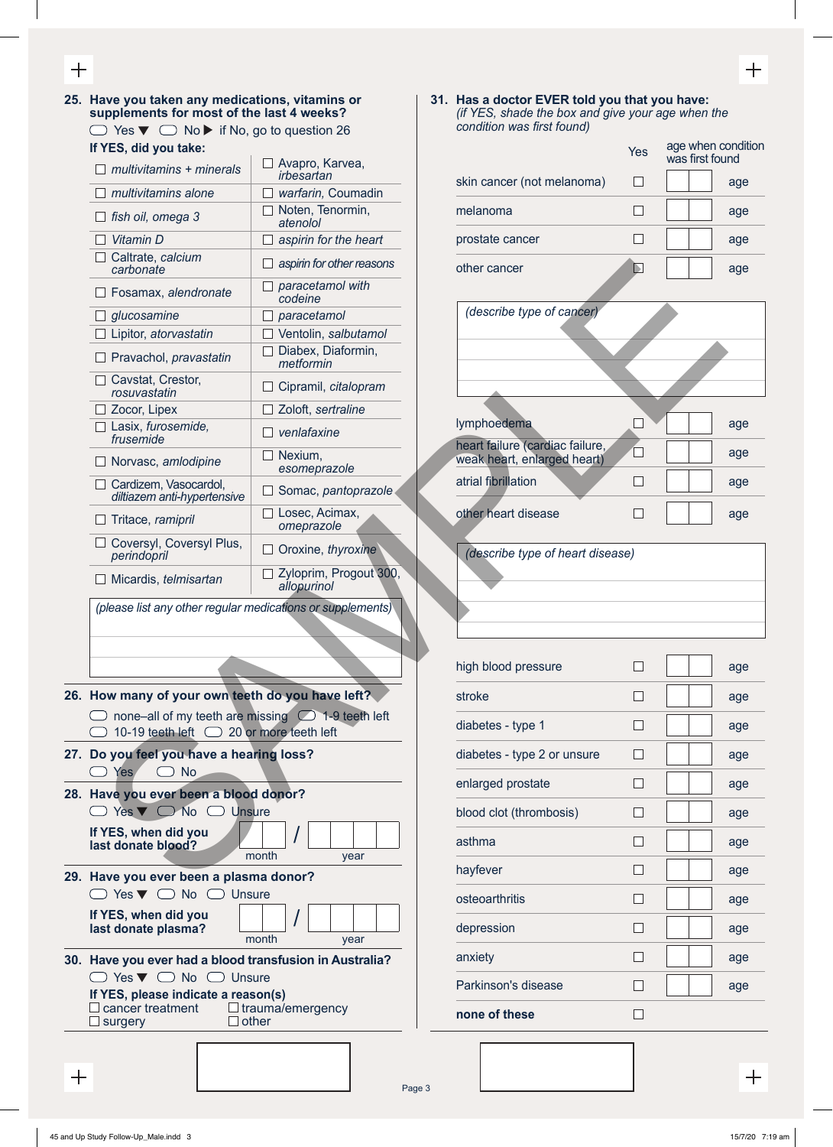**25. Have you taken any medications, vitamins or supplements for most of the last 4 weeks?**  $\Box$  Yes  $\blacktriangledown$   $\Box$  No  $\blacktriangleright$  if No, go to question 26

| If YES, did you take:                                                   |                                     |                                                | Yes      | age when co   |
|-------------------------------------------------------------------------|-------------------------------------|------------------------------------------------|----------|---------------|
| $\Box$ multivitamins + minerals                                         | Avapro, Karvea,<br>irbesartan       | skin cancer (not melanoma)                     | П        | was first fou |
| multivitamins alone                                                     | warfarin, Coumadin                  |                                                |          |               |
| fish oil, omega 3                                                       | Noten, Tenormin,<br>atenolol        | melanoma                                       | $\Box$   |               |
| Vitamin D                                                               | aspirin for the heart               | prostate cancer                                | $\Box$   |               |
| Caltrate, calcium<br>carbonate                                          | aspirin for other reasons           | other cancer                                   | D        |               |
| Fosamax, alendronate                                                    | paracetamol with<br>codeine         |                                                |          |               |
| glucosamine                                                             | paracetamol<br>$\Box$               | (describe type of cancer)                      |          |               |
| Lipitor, atorvastatin                                                   | Ventolin, salbutamol                |                                                |          |               |
| $\Box$ Pravachol, pravastatin                                           | Diabex, Diaformin,<br>metformin     |                                                |          |               |
| Cavstat, Crestor,<br>rosuvastatin                                       | Cipramil, citalopram<br>$\Box$      |                                                |          |               |
| Zocor, Lipex                                                            | Zoloft, sertraline                  |                                                |          |               |
| Lasix, furosemide,<br>frusemide                                         | venlafaxine<br>- 1                  | lymphoedema<br>heart failure (cardiac failure, | $\Box$   |               |
| Norvasc, amlodipine                                                     | Nexium,<br>esomeprazole             | weak heart, enlarged heart)                    | $\Box$   |               |
| □ Cardizem, Vasocardol,<br>diltiazem anti-hypertensive                  | Somac, pantoprazole<br>$\Box$       | atrial fibrillation                            | $\sqcup$ |               |
| Tritace, ramipril                                                       | $\Box$ Losec, Acimax,<br>omeprazole | other heart disease                            | $\Box$   |               |
| Coversyl, Coversyl Plus,<br>Oroxine, thyroxine<br>perindopril           |                                     | (describe type of heart disease)               |          |               |
| Zyloprim, Progout 300,<br>Micardis, telmisartan<br>allopurinol          |                                     |                                                |          |               |
| (please list any other regular medications or supplements)              |                                     |                                                |          |               |
|                                                                         |                                     | high blood pressure                            | □        |               |
| How many of your own teeth do you have left?                            |                                     | stroke                                         | $\Box$   |               |
| ◯ none-all of my teeth are missing ◯ 1-9 teeth left                     |                                     | diabetes - type 1                              | $\Box$   |               |
| $\bigcirc$ 10-19 teeth left $\bigcirc$ 20 or more teeth left            |                                     |                                                |          |               |
| Do you feel you have a hearing loss?<br>$\bigcirc$ Yes<br>$\bigcirc$ No |                                     | diabetes - type 2 or unsure                    | $\Box$   |               |
| Have you ever been a blood donor?                                       |                                     | enlarged prostate                              | $\Box$   |               |
| $\Box$ Yes $\nabla$ $\Box$ No $\Box$ Unsure                             |                                     | blood clot (thrombosis)                        | □        |               |
| If YES, when did you<br>last donate blood?                              |                                     | asthma                                         | $\Box$   |               |
| Have you ever been a plasma donor?                                      | month<br>year                       | hayfever                                       | $\Box$   |               |
|                                                                         |                                     |                                                |          |               |

**26. How many of your own teeth do you have left?**  $\Box$  none–all of my teeth are missing  $\Box$  1-9 teeth left  $\bigcirc$  10-19 teeth left  $\bigcirc$  20 or more teeth left

- **27. Do you feel you have a hearing loss?**  $\bigcirc$  Yes  $\bigcirc$  No
- **28. Have you ever been a blood donor?**  $\Box$  Yes  $\nabla$   $\Box$  No  $\Box$  Unsure **If YES, when did you last donate blood? last donate blood? http://web. last donate blood? html year**
- **29. Have you ever been a plasma donor?**  $\Box$  Yes  $\nabla$   $\Box$  No  $\Box$  Unsure

| If YES, when did you<br>last donate plasma? |       |      |  |
|---------------------------------------------|-------|------|--|
|                                             | month | vear |  |

**30. Have you ever had a blood transfusion in Australia?**  $\Box$  Yes  $\nabla$   $\Box$  No  $\Box$  Unsure **If YES, please indicate a reason(s)**<br>□ cancer treatment □ trauma/

 $\Box$  trauma/emergency<br> $\Box$  other  $\square$  surgery

Page 3

**31. Has a doctor EVER told you that you have:** *(if YES, shade the box and give your age when the condition was first found)*

|                                                                | Yes | age when condition<br>was first found |
|----------------------------------------------------------------|-----|---------------------------------------|
| skin cancer (not melanoma)                                     |     | age                                   |
| melanoma                                                       |     | age                                   |
| prostate cancer                                                |     | age                                   |
| other cancer                                                   | N   | age                                   |
| (describe type of cancer)                                      |     |                                       |
|                                                                |     |                                       |
|                                                                |     |                                       |
| lymphoedema                                                    |     | age                                   |
| heart failure (cardiac failure,<br>weak heart, enlarged heart) |     | age                                   |
| atrial fibrillation                                            |     | age                                   |
| other heart disease                                            |     | age                                   |
| (describe type of heart disease)                               |     |                                       |

| high blood pressure         |              | age |
|-----------------------------|--------------|-----|
| stroke                      | ГΙ           | age |
| diabetes - type 1           | $\mathsf{L}$ | age |
| diabetes - type 2 or unsure | $\mathbf{I}$ | age |
| enlarged prostate           | $\mathsf{L}$ | age |
| blood clot (thrombosis)     |              | age |
| asthma                      | $\mathsf{L}$ | age |
| hayfever                    | П            | age |
| osteoarthritis              |              | age |
| depression                  |              | age |
| anxiety                     | ΙI           | age |
| Parkinson's disease         |              | age |
| none of these               |              |     |

 $+$ 

 $\overline{+}$ 

 $^{+}$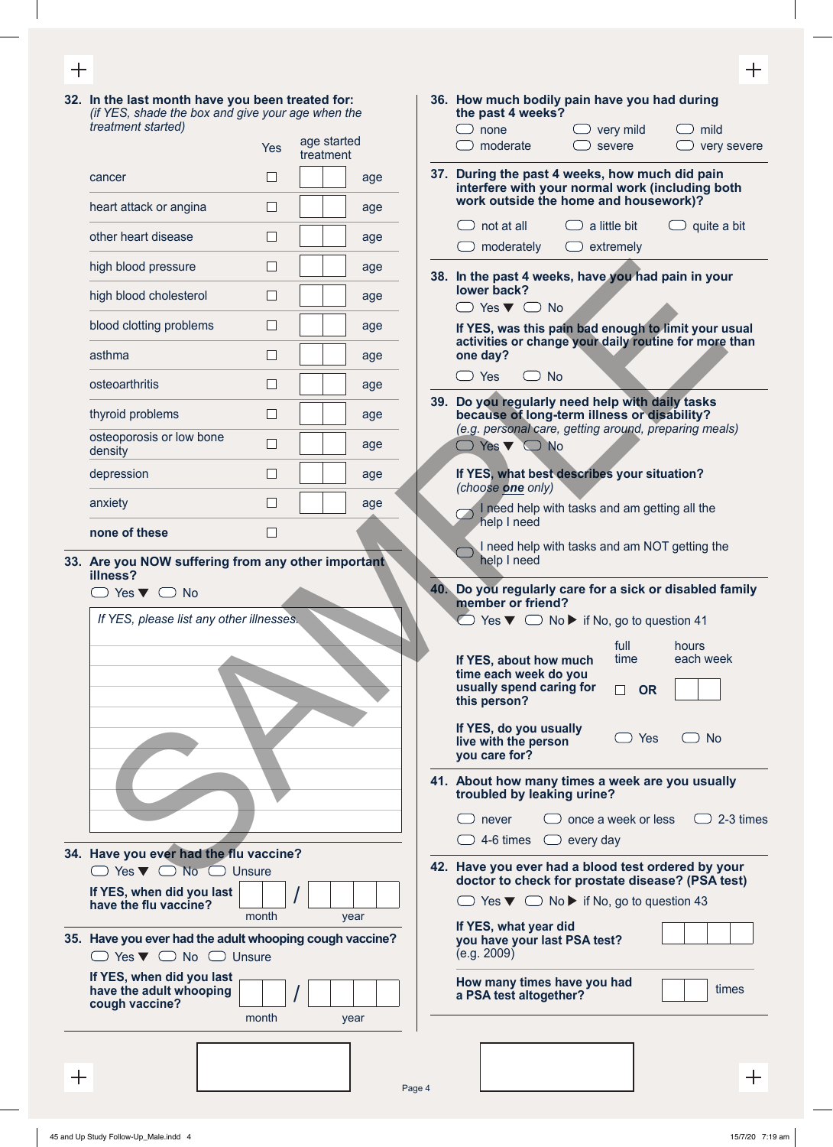**32. In the last month have you been treated for:**  *(if YES, shade the box and give your age when the treatment started)* Yes age started

|                                     | Yes            | aye starteu<br>treatment |
|-------------------------------------|----------------|--------------------------|
| cancer                              |                | age                      |
| heart attack or angina              |                | age                      |
| other heart disease                 |                | age                      |
| high blood pressure                 |                | age                      |
| high blood cholesterol              |                | age                      |
| blood clotting problems             |                | age                      |
| asthma                              |                | age                      |
| osteoarthritis                      |                | age                      |
| thyroid problems                    | $\blacksquare$ | age                      |
| osteoporosis or low bone<br>density |                | age                      |
| depression                          |                | age                      |
| anxiety                             |                | age                      |
| none of these                       |                |                          |

**33. Are you NOW suffering from any other important illness?**

| If YES, please list any other illnesses. |  |
|------------------------------------------|--|
|                                          |  |
|                                          |  |
|                                          |  |
|                                          |  |
|                                          |  |
|                                          |  |
|                                          |  |
|                                          |  |
|                                          |  |

**34. Have you ever had the flu vaccine?**  $\mathsf{Yes} \blacktriangleright \hspace{1mm} \square \hspace{1mm} \mathsf{No} \hspace{1mm} \square \hspace{1mm} \mathsf{Unsure}$ **If YES, when did you last**  $\begin{array}{c|c} \hline \text{If } Y \in \mathbb{S} \setminus \{1,2,3,4\} \end{array}$  are the flu vaccine?

**35. Have you ever had the adult whooping cough vaccine?**  $\Box$  Yes  $\nabla$   $\Box$  No  $\Box$  Unsure

Page 4

| If YES, when did you last<br>have the adult whooping<br>cough vaccine? |       |  |      |  |
|------------------------------------------------------------------------|-------|--|------|--|
|                                                                        | month |  | vear |  |

| n the last month have you been treated for:<br>if YES, shade the box and give your age when the    |            |                          |      | 36. How much bodily pain have you had during<br>the past 4 weeks?                                                                                |
|----------------------------------------------------------------------------------------------------|------------|--------------------------|------|--------------------------------------------------------------------------------------------------------------------------------------------------|
| eatment started)                                                                                   |            |                          |      | $\Box$ very mild<br>$\bigcirc$ none<br>mild                                                                                                      |
|                                                                                                    | <b>Yes</b> | age started<br>treatment |      | severe<br>moderate<br>very severe                                                                                                                |
| ancer                                                                                              | ⊔          |                          | age  | 37. During the past 4 weeks, how much did pain<br>interfere with your normal work (including both                                                |
| eart attack or angina                                                                              | $\Box$     |                          | age  | work outside the home and housework)?<br>$\Box$ a little bit<br>$\Box$ not at all                                                                |
| ther heart disease                                                                                 | $\Box$     |                          | age  | $\Box$ quite a bit<br>$\Box$ extremely<br>$\Box$ moderately                                                                                      |
| igh blood pressure                                                                                 | $\Box$     |                          | age  | 38. In the past 4 weeks, have you had pain in your                                                                                               |
| igh blood cholesterol                                                                              | □          |                          | age  | lower back?<br>$\Box$ Yes $\nabla$ $\Box$ No                                                                                                     |
| lood clotting problems                                                                             | □          |                          | age  | If YES, was this pain bad enough to limit your usual                                                                                             |
| sthma                                                                                              | $\Box$     |                          | age  | activities or change your daily routine for more than<br>one day?                                                                                |
| steoarthritis                                                                                      | $\Box$     |                          | age  | $\bigcirc$ Yes<br>$\bigcirc$ No                                                                                                                  |
| nyroid problems                                                                                    | $\Box$     |                          | age  | 39. Do you regularly need help with daily tasks<br>because of long-term illness or disability?                                                   |
| steoporosis or low bone<br>ensity                                                                  | □          |                          | age  | (e.g. personal care, getting around, preparing meals)<br>$\bigcirc$ Yes $\blacktriangledown$ $\bigcirc$ No                                       |
| epression                                                                                          | $\Box$     |                          | age  | If YES, what best describes your situation?<br>(choose one only)                                                                                 |
| nxiety                                                                                             | $\Box$     |                          | age  | I need help with tasks and am getting all the<br>$\Box$                                                                                          |
| one of these                                                                                       | $\Box$     |                          |      | help I need                                                                                                                                      |
| <b>The you NOW suffering from any other important</b><br>Iness?                                    |            |                          |      | I need help with tasks and am NOT getting the<br>help I need                                                                                     |
| $\supset$ Yes $\blacktriangledown$ $\bigcirc$ No                                                   |            |                          |      | 40. Do you regularly care for a sick or disabled family<br>member or friend?                                                                     |
| If YES, please list any other illnesses.                                                           |            |                          |      | $\Box$ Yes $\nabla$ $\Box$ No $\nabla$ if No, go to question 41                                                                                  |
|                                                                                                    |            |                          |      | full hours<br>time<br>each week<br>If YES, about how much<br>time each week do you<br>usually spend caring for<br>П<br><b>OR</b><br>this person? |
|                                                                                                    |            |                          |      | If YES, do you usually<br>$\supset$ Yes<br><b>No</b><br>live with the person<br>you care for?                                                    |
|                                                                                                    |            |                          |      | 41. About how many times a week are you usually<br>troubled by leaking urine?                                                                    |
|                                                                                                    |            |                          |      | once a week or less<br>2-3 times<br>never                                                                                                        |
| lave you ever had the flu vaccine?                                                                 |            |                          |      | 4-6 times<br>$\Box$ every day                                                                                                                    |
| $\Box$ Yes $\nabla$ $\Box$ No $\Box$ Unsure                                                        |            |                          |      | 42. Have you ever had a blood test ordered by your<br>doctor to check for prostate disease? (PSA test)                                           |
| YES, when did you last<br>ave the flu vaccine?                                                     |            |                          |      | $\Box$ Yes $\nabla$ $\Box$ No $\nabla$ if No, go to question 43                                                                                  |
|                                                                                                    | month      |                          | year | If YES, what year did                                                                                                                            |
| lave you ever had the adult whooping cough vaccine?<br>$\Box$ Yes $\nabla$ $\Box$ No $\Box$ Unsure |            |                          |      | you have your last PSA test?<br>(e.g. 2009)                                                                                                      |
| YES, when did you last<br>ave the adult whooping                                                   |            |                          |      | How many times have you had<br>times<br>a PSA test altogether?                                                                                   |

 $+$ 

 $\Box$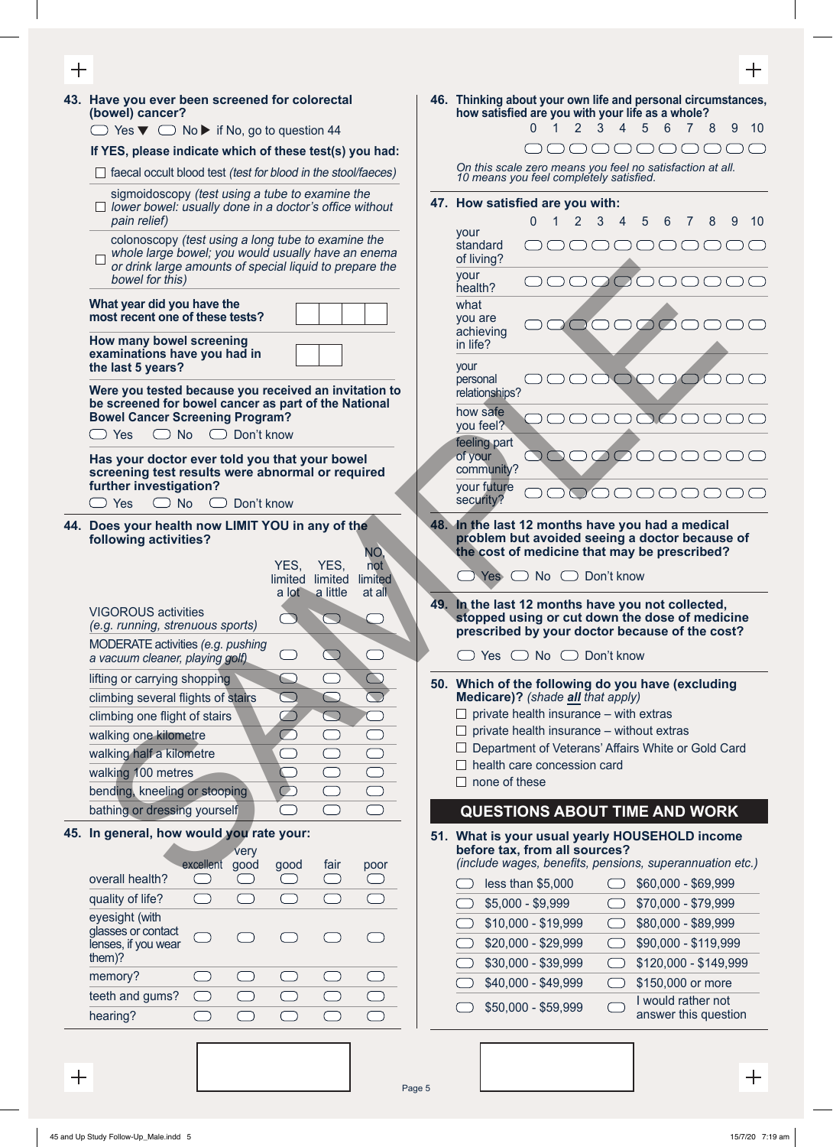| 十     |                                                                                                                                                                                        |                          | 十                                                                                                                                                     |
|-------|----------------------------------------------------------------------------------------------------------------------------------------------------------------------------------------|--------------------------|-------------------------------------------------------------------------------------------------------------------------------------------------------|
|       | 43. Have you ever been screened for colorectal<br>(bowel) cancer?                                                                                                                      |                          | 46. Thinking about your own life and personal circumstances,<br>how satisfied are you with your life as a whole?                                      |
|       | $\Box$ Yes $\nabla$ $\Box$ No $\nabla$ if No, go to question 44                                                                                                                        |                          | $\overline{4}$<br>5<br>6<br>$2^{\circ}$<br>3<br>7 <sup>7</sup><br>8<br>9<br>10                                                                        |
|       | If YES, please indicate which of these test(s) you had:                                                                                                                                |                          |                                                                                                                                                       |
|       | $\Box$ faecal occult blood test (test for blood in the stool/faeces)                                                                                                                   |                          | On this scale zero means you feel no satisfaction at all.<br>10 means you feel completely satisfied.                                                  |
|       | sigmoidoscopy (test using a tube to examine the<br>$\Box$ lower bowel: usually done in a doctor's office without<br>pain relief)                                                       |                          | 47. How satisfied are you with:<br>$\sim$ 1<br>$2 \quad 3$<br>$\overline{4}$<br>5<br>6<br>8<br>9<br>$\Omega$<br>$\overline{7}$<br>10                  |
|       | colonoscopy (test using a long tube to examine the<br>whole large bowel; you would usually have an enema<br>or drink large amounts of special liquid to prepare the<br>bowel for this) |                          | your<br>standard<br>OOOO<br>of living?<br>your<br>DOC                                                                                                 |
|       | What year did you have the<br>most recent one of these tests?                                                                                                                          |                          | health?<br>what<br>you are<br>200000                                                                                                                  |
|       | How many bowel screening<br>examinations have you had in<br>the last 5 years?                                                                                                          |                          | achieving<br>in life?<br>your                                                                                                                         |
|       | Were you tested because you received an invitation to<br>be screened for bowel cancer as part of the National                                                                          |                          | personal<br>relationships?                                                                                                                            |
|       | <b>Bowel Cancer Screening Program?</b>                                                                                                                                                 |                          | how safe<br>$\overline{O}$<br>you feel?                                                                                                               |
|       | $\Box$ No $\Box$ Don't know<br>Yes<br>Has your doctor ever told you that your bowel<br>screening test results were abnormal or required                                                |                          | feeling part<br>000000<br>of your<br>(<br>community?                                                                                                  |
|       | further investigation?<br>$\bigcirc$ No<br>Don't know<br>$\bigcirc$ Yes                                                                                                                |                          | your future<br>$($ )<br>$($ )<br>$\overline{\phantom{a}}$<br>security?                                                                                |
|       | 44. Does your health now LIMIT YOU in any of the<br>following activities?                                                                                                              | NO,                      | 48. In the last 12 months have you had a medical<br>problem but avoided seeing a doctor because of<br>the cost of medicine that may be prescribed?    |
|       | YES,<br>YES,<br>limited limited<br>a lot a little                                                                                                                                      | not<br>limited<br>at all | $\Box$ Yes $\Box$ No $\Box$ Don't know                                                                                                                |
|       | <b>VIGOROUS activities</b><br>(e.g. running, strenuous sports)                                                                                                                         |                          | 49. In the last 12 months have you not collected,<br>stopped using or cut down the dose of medicine<br>prescribed by your doctor because of the cost? |
|       | MODERATE activities (e.g. pushing<br>$\Box$<br>$\begin{pmatrix} 1 & 1 \\ 1 & 1 \end{pmatrix}$<br>a vacuum cleaner, playing golf)                                                       |                          | Yes ◯ No ◯ Don't know                                                                                                                                 |
|       | lifting or carrying shopping<br>$\bigcirc$<br>$\bigcirc$<br>$\bigcirc$<br>climbing several flights of stairs                                                                           | $\overline{\mathbb{C}}$  | 50. Which of the following do you have (excluding<br>Medicare)? (shade all that apply)<br>$\Box$ private health insurance – with extras               |
|       | climbing one flight of stairs<br>$\bigcirc$<br>$\mathbb{Z}$<br>$\overline{\bigcirc}$<br>walking one kilometre<br>◯                                                                     | $\bigcirc$               | $\Box$ private health insurance – without extras                                                                                                      |
|       | walking half a kilometre<br>$\bigcirc$                                                                                                                                                 | $\bigcirc$               | Department of Veterans' Affairs White or Gold Card                                                                                                    |
|       | walking 100 metres<br>$\subset$                                                                                                                                                        | $\qquad \qquad \Box$     | health care concession card                                                                                                                           |
|       | $\bigcirc$<br>bending, kneeling or stooping                                                                                                                                            | $\bigcirc$               | none of these                                                                                                                                         |
|       | bathing or dressing yourself<br>- 1                                                                                                                                                    | $\bigcap$                | <b>QUESTIONS ABOUT TIME AND WORK</b>                                                                                                                  |
|       | 45. In general, how would you rate your:                                                                                                                                               |                          | 51. What is your usual yearly HOUSEHOLD income                                                                                                        |
|       | very                                                                                                                                                                                   |                          | before tax, from all sources?                                                                                                                         |
|       | excellent good<br>fair<br>good<br>overall health?<br>$\bigcirc$<br>$($ )<br>$($ )                                                                                                      | poor<br>$\cup$           | (include wages, benefits, pensions, superannuation etc.)                                                                                              |
|       | quality of life?<br>$\subset$<br>$\Box$                                                                                                                                                |                          | less than \$5,000<br>\$60,000 - \$69,999<br>$\overline{\phantom{0}}$                                                                                  |
|       | eyesight (with                                                                                                                                                                         |                          | $$5,000 - $9,999$<br>\$70,000 - \$79,999                                                                                                              |
|       | glasses or contact                                                                                                                                                                     |                          | \$10,000 - \$19,999<br>\$80,000 - \$89,999<br>$(\quad)$                                                                                               |
|       | lenses, if you wear<br>them)?                                                                                                                                                          |                          | \$20,000 - \$29,999<br>\$90,000 - \$119,999<br>$\bigcirc$                                                                                             |
|       | memory?                                                                                                                                                                                |                          | \$30,000 - \$39,999<br>\$120,000 - \$149,999<br>(                                                                                                     |
|       | $\qquad \qquad \Box$<br>$\qquad \qquad \Box$<br>teeth and gums?<br>$\overline{\phantom{a}}$                                                                                            | $\bigcirc$               | \$40,000 - \$49,999<br>\$150,000 or more<br>$\hspace{0.1in}\Box$<br>I would rather not                                                                |
|       | hearing?<br>$\bigcirc$<br>$\bigcap$<br>$\bigcap$<br>- 1                                                                                                                                | $\hspace{0.5cm}\bigcap$  | \$50,000 - \$59,999<br>answer this question                                                                                                           |
|       |                                                                                                                                                                                        |                          |                                                                                                                                                       |
|       |                                                                                                                                                                                        |                          |                                                                                                                                                       |
| $\pm$ |                                                                                                                                                                                        | Pane 5                   |                                                                                                                                                       |

Page 5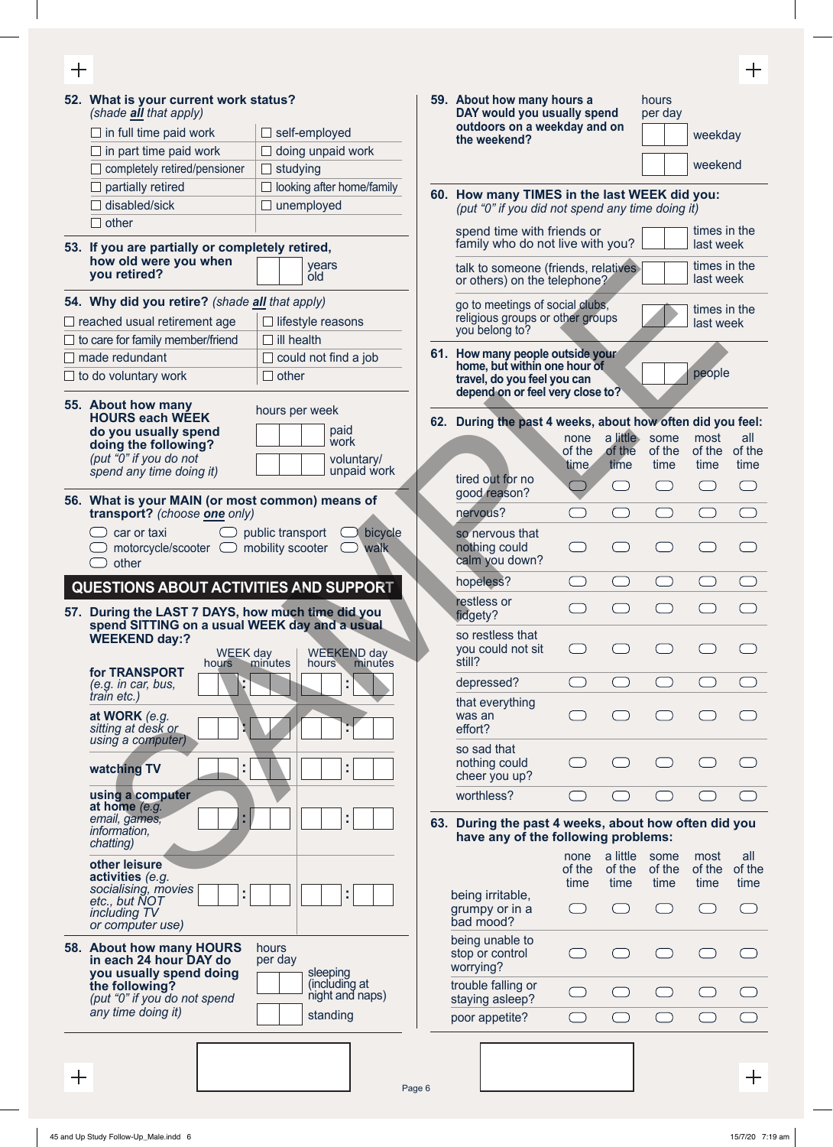$\qquad \qquad +$ 

|              | 52. What is your current work status?<br>(shade all that apply) |                                  | 59. About how many hours a<br>DAY would you usually spend |                                                                      |                | hours<br>per day |                                               |                           |               |
|--------------|-----------------------------------------------------------------|----------------------------------|-----------------------------------------------------------|----------------------------------------------------------------------|----------------|------------------|-----------------------------------------------|---------------------------|---------------|
|              | $\Box$ in full time paid work                                   | $\Box$ self-employed             |                                                           | outdoors on a weekday and on                                         |                |                  |                                               | weekday                   |               |
|              | in part time paid work<br>$\Box$ doing unpaid work              |                                  |                                                           | the weekend?                                                         |                |                  |                                               |                           |               |
|              | completely retired/pensioner                                    | $\Box$ studying                  |                                                           |                                                                      |                |                  |                                               | weekend                   |               |
|              | partially retired                                               | $\Box$ looking after home/family |                                                           | 60. How many TIMES in the last WEEK did you:                         |                |                  |                                               |                           |               |
|              | disabled/sick                                                   | $\Box$ unemployed                |                                                           | (put "0" if you did not spend any time doing it)                     |                |                  |                                               |                           |               |
|              | $\Box$ other                                                    |                                  |                                                           | spend time with friends or                                           |                |                  |                                               | times in the              |               |
|              | 53. If you are partially or completely retired,                 |                                  |                                                           | family who do not live with you?                                     |                |                  |                                               | last week                 |               |
|              | how old were you when<br>you retired?                           | years<br>old                     |                                                           | talk to someone (friends, relatives)<br>or others) on the telephone? |                |                  |                                               | times in the<br>last week |               |
|              | 54. Why did you retire? (shade all that apply)                  |                                  |                                                           | go to meetings of social clubs,                                      |                |                  |                                               | times in the              |               |
|              | $\Box$ reached usual retirement age                             | $\Box$ lifestyle reasons         |                                                           | religious groups or other groups<br>you belong to?                   |                |                  |                                               | last week                 |               |
|              | $\Box$ to care for family member/friend                         | $\Box$ ill health                |                                                           |                                                                      |                |                  |                                               |                           |               |
|              | $\Box$ made redundant                                           | $\Box$ could not find a job      |                                                           | 61. How many people outside your<br>home, but within one hour of     |                |                  |                                               |                           |               |
|              | $\Box$ to do voluntary work                                     | $\Box$ other                     |                                                           | travel, do you feel you can                                          |                |                  |                                               | people                    |               |
|              | 55. About how many                                              |                                  |                                                           | depend on or feel very close to?                                     |                |                  |                                               |                           |               |
|              | <b>HOURS each WEEK</b>                                          | hours per week                   |                                                           | 62. During the past 4 weeks, about how often did you feel:           |                |                  |                                               |                           |               |
|              | do you usually spend                                            | paid<br>work                     |                                                           |                                                                      | none           |                  | a little some                                 | most                      | all           |
|              | doing the following?<br>(put "0" if you do not                  | voluntary/                       |                                                           |                                                                      | of the         | of the           | of the                                        | of the                    | of the        |
|              | spend any time doing it)                                        | unpaid work                      |                                                           | tired out for no                                                     | time           | time             | time                                          | time                      | time          |
|              | 56. What is your MAIN (or most common) means of                 |                                  |                                                           | good reason?                                                         |                | $($ )            | $\left( \begin{array}{c} \end{array} \right)$ | $(\quad)$                 | 0             |
|              | transport? (choose one only)                                    |                                  |                                                           | nervous?                                                             |                | - 1              |                                               | C.                        |               |
|              | car or taxi                                                     | public transport<br>bicycle      |                                                           | so nervous that                                                      |                |                  |                                               |                           |               |
|              | motorcycle/scooter $\Box$                                       | mobility scooter<br>walk         |                                                           | nothing could                                                        |                |                  |                                               |                           |               |
|              | other                                                           |                                  |                                                           | calm you down?                                                       |                |                  |                                               |                           |               |
|              | QUESTIONS ABOUT ACTIVITIES AND SUPPORT                          |                                  |                                                           | hopeless?                                                            | $\Box$         | $\bigcap$        | $(\quad)$                                     | 0                         |               |
|              | 57. During the LAST 7 DAYS, how much time did you               |                                  |                                                           | restless or<br>fidgety?                                              |                |                  |                                               |                           |               |
|              | spend SITTING on a usual WEEK day and a usual                   |                                  |                                                           | so restless that                                                     |                |                  |                                               |                           |               |
|              | <b>WEEKEND day:?</b><br><b>WEEK day</b>                         | <b>WEEKEND day</b>               |                                                           | you could not sit                                                    |                |                  |                                               |                           |               |
|              | hours<br>for TRANSPORT                                          | minutes<br>hours<br>minutes      |                                                           | still?                                                               |                |                  |                                               |                           |               |
|              | ç<br>(e.g. in car, bus,                                         | t,                               |                                                           | depressed?                                                           |                |                  |                                               |                           |               |
|              | train etc.)                                                     |                                  |                                                           | that everything                                                      |                |                  |                                               |                           |               |
|              | at WORK (e.g.<br>sitting at desk or                             |                                  |                                                           | was an<br>effort?                                                    |                |                  |                                               |                           |               |
|              | using a computer)                                               |                                  |                                                           | so sad that                                                          |                |                  |                                               |                           |               |
|              | t,<br>watching TV                                               | t,                               |                                                           | nothing could                                                        |                |                  |                                               |                           |               |
|              |                                                                 |                                  |                                                           | cheer you up?                                                        |                |                  |                                               |                           |               |
|              | using a computer<br>at home (e.g.                               |                                  |                                                           | worthless?                                                           |                |                  |                                               |                           |               |
|              | email, games,                                                   | t,                               |                                                           | 63. During the past 4 weeks, about how often did you                 |                |                  |                                               |                           |               |
|              | <i>information,</i><br>chatting)                                |                                  |                                                           | have any of the following problems:                                  |                |                  |                                               |                           |               |
|              | other leisure                                                   |                                  |                                                           |                                                                      | none           | a little         | some                                          | most                      | all<br>of the |
|              | activities (e.g.                                                |                                  |                                                           |                                                                      | of the<br>time | of the<br>time   | of the<br>time                                | of the<br>time            | time          |
|              | socialising, movies<br>t,<br>etc., but NOT                      | t,                               |                                                           | being irritable,                                                     |                |                  |                                               |                           |               |
|              | including TV                                                    |                                  |                                                           | grumpy or in a<br>bad mood?                                          | 그              | $\bigcap$        |                                               |                           |               |
|              | or computer use)                                                |                                  |                                                           | being unable to                                                      |                |                  |                                               |                           |               |
|              | 58. About how many HOURS<br>in each 24 hour DAY do              | hours<br>per day                 |                                                           | stop or control                                                      |                |                  |                                               |                           |               |
|              | you usually spend doing                                         | sleeping                         |                                                           | worrying?                                                            |                |                  |                                               |                           |               |
|              | the following?<br>(put "0" if you do not spend                  | (including at<br>night and naps) |                                                           | trouble falling or<br>staying asleep?                                | $\Box$         | $\bigcap$        | $\overline{\phantom{a}}$                      | (منتبر)                   |               |
|              | any time doing it)                                              | standing                         |                                                           | poor appetite?                                                       |                |                  |                                               | Œ                         |               |
|              |                                                                 |                                  |                                                           |                                                                      |                |                  |                                               |                           |               |
|              |                                                                 |                                  |                                                           |                                                                      |                |                  |                                               |                           |               |
| $\mathrm{+}$ |                                                                 |                                  |                                                           |                                                                      |                |                  |                                               |                           | $\pm$         |
|              |                                                                 |                                  | Page 6                                                    |                                                                      |                |                  |                                               |                           |               |

 $\boldsymbol{+}$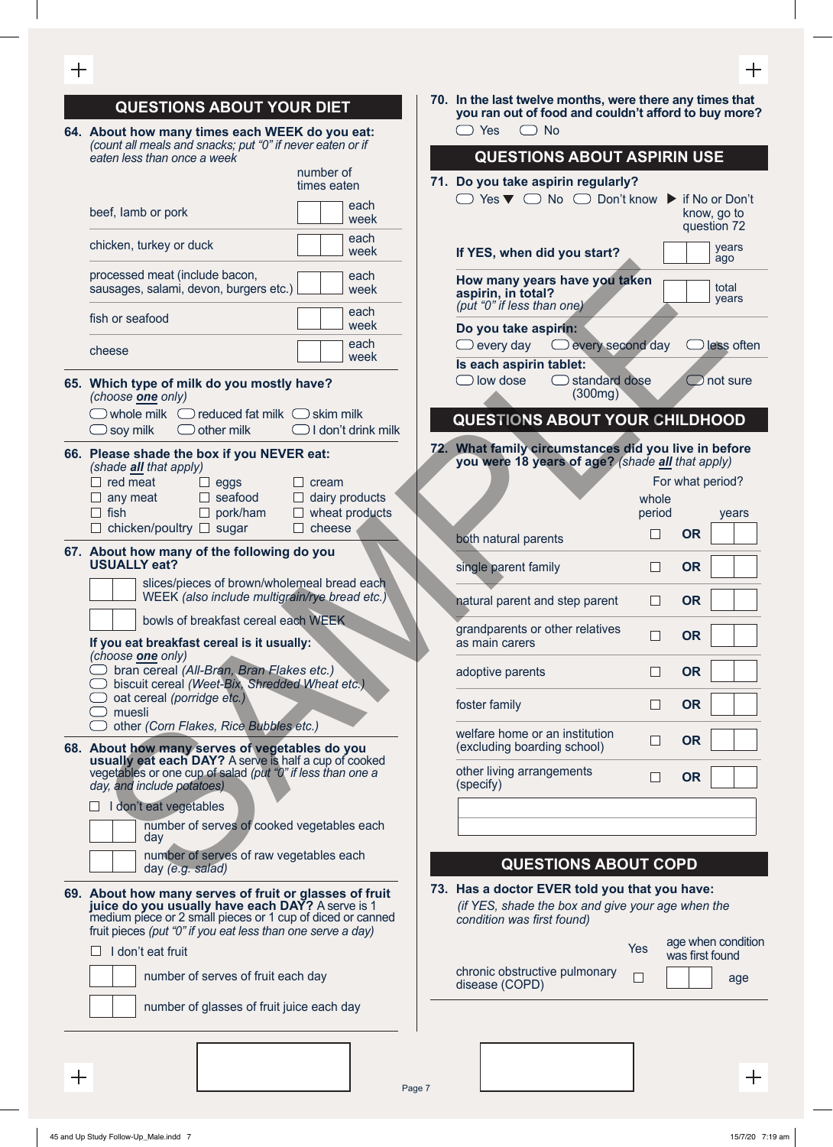#### $\pm$ **QUESTIONS ABOUT YOUR DIET 64. About how many times each WEEK do you eat:**  *(count all meals and snacks; put "0" if never eaten or if eaten less than once a week* number of times eaten beef, lamb or pork each each week week chicken, turkey or duck each week The state of the total state of the state of the state of the state of the state of the state of the state of the state of the state of the state of the state of the state of the state of the state of the state of the sta processed meat (include bacon, each sausages, salami, devon, burgers etc.) week fish or seafood each week  $\Box$  cheese each  $\Box$  each  $\Box$  each  $\Box$ week **65. Which type of milk do you mostly have?**  *(choose one only)*  $\Box$  whole milk  $\Box$  reduced fat milk  $\Box$  skim milk  $\Box$  soy milk  $\Box$  other milk  $\Box$  I don't drink milk **66. Please shade the box if you NEVER eat:**  *(shade all that apply)*  $\Box$  red meat  $\Box$  eggs  $\Box$  cream  $\Box$  any meat  $\Box$  seafood  $\Box$  dairy products  $\Box$  fish  $\Box$  pork/ham  $\Box$  wheat products  $\Box$  chicken/poultry  $\Box$  sugar  $\Box$  cheese **67. About how many of the following do you USUALLY eat?** slices/pieces of brown/wholemeal bread each WEEK *(also include multigrain/rye bread etc.)* bowls of breakfast cereal each WEEK **If you eat breakfast cereal is it usually:** *(choose one only)* bran cereal *(All-Bran, Bran Flakes etc.)* biscuit cereal *(Weet-Bix, Shredded Wheat etc.)* oat cereal *(porridge etc.)*  $\supset$  muesli other *(Corn Flakes, Rice Bubbles etc.)* **68. About how many serves of vegetables do you usually eat each DAY?** A serve is half a cup of cooked vegetables or one cup of salad *(put "0" if less than one a day, and include potatoes)*  $\Box$  I don't eat vegetables number of serves of cooked vegetables each day number of serves of raw vegetables each day *(e.g. salad)*

- **69. About how many serves of fruit or glasses of fruit juice do you usually have each DAY?** A serve is 1 medium piece or 2 small pieces or 1 cup of diced or canned fruit pieces *(put "0" if you eat less than one serve a day)*
	- $\Box$  I don't eat fruit



number of glasses of fruit juice each day

**70. In the last twelve months, were there any times that you ran out of food and couldn't afford to buy more?**  $\bigcirc$  Yes  $\bigcirc$  No

### **QUESTIONS ABOUT ASPIRIN USE**

**71. Do you take aspirin regularly?**  $\Box$  Yes  $\nabla$   $\Box$  No  $\Box$  Don't know  $\blacktriangleright$  if No or Don't know, go to question 72 **If YES, when did you start?** years ago **How many years have you taken aspirin, in total?**  *(put "0" if less than one)* total years **Do you take aspirin:**  $\Box$  every day  $\Box$  every second day  $\Box$  less often **Is each aspirin tablet:**  $\Box$  low dose  $\Box$  standard dose  $\Box$  not sure (300mg)

#### **QUESTIONS ABOUT YOUR CHILDHOOD**

**72. What family circumstances did you live in before you were 18 years of age?** *(shade all that apply)*

|                                                               | whole<br>period |           | For what period?<br>years |
|---------------------------------------------------------------|-----------------|-----------|---------------------------|
| both natural parents                                          |                 | <b>OR</b> |                           |
| single parent family                                          |                 | <b>OR</b> |                           |
| natural parent and step parent                                |                 | <b>OR</b> |                           |
| grandparents or other relatives<br>as main carers             |                 | <b>OR</b> |                           |
| adoptive parents                                              |                 | <b>OR</b> |                           |
| foster family                                                 |                 | 0R        |                           |
| welfare home or an institution<br>(excluding boarding school) |                 | <b>OR</b> |                           |
| other living arrangements<br>(specify)                        |                 | <b>OR</b> |                           |
|                                                               |                 |           |                           |
|                                                               |                 |           |                           |
| <b>QUESTIONS ABOUT COPD</b>                                   |                 |           |                           |

## **73. Has a doctor EVER told you that you have:**

*(if YES, shade the box and give your age when the condition was first found)*

|                                                 | Yes | age when condition<br>was first found |
|-------------------------------------------------|-----|---------------------------------------|
| chronic obstructive pulmonary<br>disease (COPD) | П   | age                                   |
|                                                 |     |                                       |
|                                                 |     |                                       |
|                                                 |     |                                       |

Page 7

 $\, +$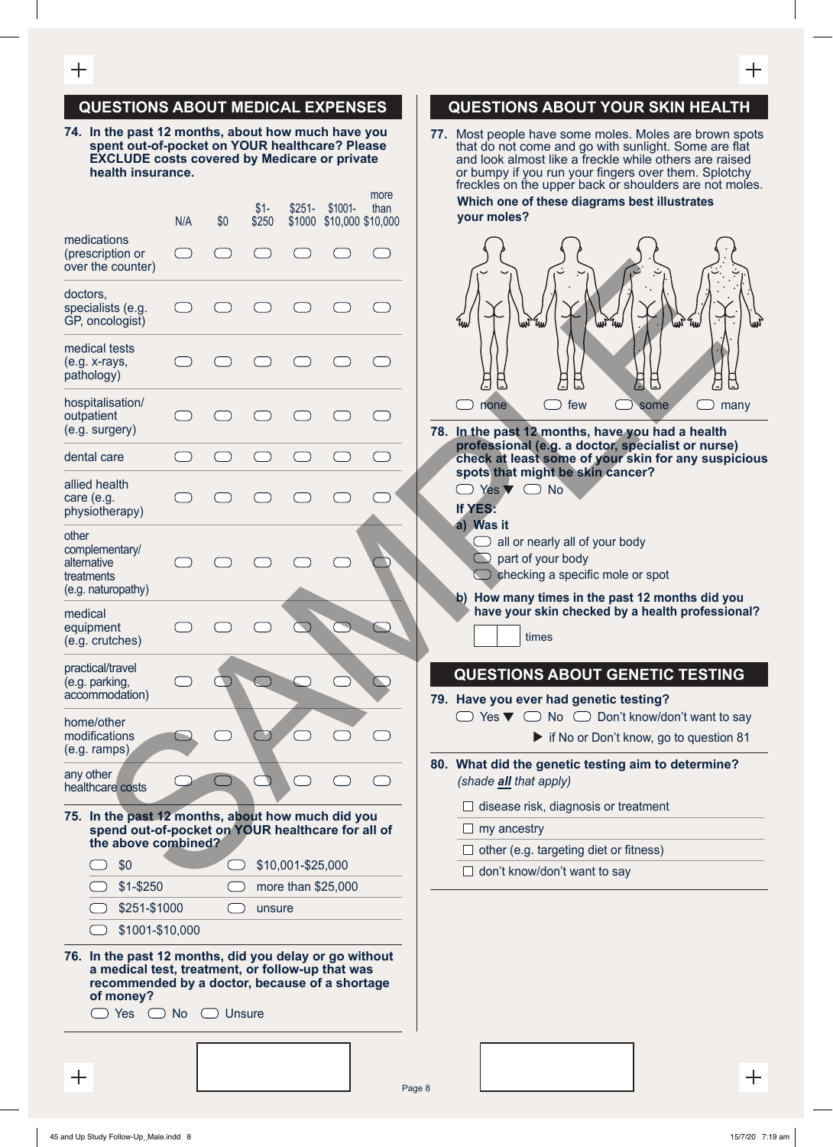#### **QUESTIONS ABOUT MEDICAL EXPENSES**

**74. In the past 12 months, about how much have you spent out-of-pocket on YOUR healthcare? Please EXCLUDE costs covered by Medicare or private health insurance.**

|                                                                                                                                                                                                     | N/A       | \$0 | $$1-$<br>\$250 | $$251-$<br>\$1000 | $$1001 -$          | more<br>than<br>\$10,000 \$10,000 | Which one of these diagrams best illustrates<br>your moles?                                                                                                     |
|-----------------------------------------------------------------------------------------------------------------------------------------------------------------------------------------------------|-----------|-----|----------------|-------------------|--------------------|-----------------------------------|-----------------------------------------------------------------------------------------------------------------------------------------------------------------|
| medications<br>(prescription or<br>over the counter)                                                                                                                                                |           |     |                |                   |                    |                                   |                                                                                                                                                                 |
| doctors,<br>specialists (e.g.<br>GP, oncologist)                                                                                                                                                    |           |     |                |                   |                    |                                   | un                                                                                                                                                              |
| medical tests<br>(e.g. x-rays,<br>pathology)                                                                                                                                                        |           |     |                |                   |                    |                                   | $\sqrt{-1}$                                                                                                                                                     |
| hospitalisation/<br>outpatient<br>(e.g. surgery)                                                                                                                                                    |           |     |                |                   |                    |                                   | few<br>$\mathsf{n}$<br>none<br>some<br>78. In the past 12 months, have you had a health                                                                         |
| dental care                                                                                                                                                                                         |           |     |                |                   |                    |                                   | professional (e.g. a doctor, specialist or nurs<br>check at least some of your skin for any susp                                                                |
| allied health<br>care (e.g.<br>physiotherapy)                                                                                                                                                       |           |     |                |                   |                    |                                   | spots that might be skin cancer?<br>Yes $\nabla$ $\Box$ No<br>If YES:                                                                                           |
| other<br>complementary/<br>alternative<br>treatments<br>(e.g. naturopathy)                                                                                                                          |           |     |                |                   |                    |                                   | a) Was it<br>all or nearly all of your body<br>$\cup$<br>part of your body<br>checking a specific mole or spot<br>b) How many times in the past 12 months did y |
| medical<br>equipment<br>(e.g. crutches)                                                                                                                                                             |           |     |                |                   |                    |                                   | have your skin checked by a health professi<br>times                                                                                                            |
| practical/travel<br>(e.g. parking,<br>accommodation)                                                                                                                                                |           |     |                |                   |                    |                                   | <b>QUESTIONS ABOUT GENETIC TESTIN</b><br>79. Have you ever had genetic testing?                                                                                 |
| home/other<br>modifications<br>$(e.g. ramps))$                                                                                                                                                      |           |     |                |                   |                    |                                   | No $\bigcirc$ Don't know/don't want to<br>Yes $\nabla$ $\Box$<br>if No or Don't know, go to questio                                                             |
| any other<br>healthcare costs                                                                                                                                                                       |           |     |                |                   |                    |                                   | 80. What did the genetic testing aim to determine<br>(shade all that apply)                                                                                     |
| 75. In the past 12 months, about how much did you<br>spend out-of-pocket on YOUR healthcare for all of                                                                                              |           |     |                |                   |                    |                                   | disease risk, diagnosis or treatment<br>$\Box$ my ancestry                                                                                                      |
| the above combined?                                                                                                                                                                                 |           |     |                |                   |                    |                                   | $\Box$ other (e.g. targeting diet or fitness)                                                                                                                   |
| \$0                                                                                                                                                                                                 |           |     |                | \$10,001-\$25,000 |                    |                                   | don't know/don't want to say                                                                                                                                    |
| $$1 - $250$                                                                                                                                                                                         |           |     |                |                   | more than \$25,000 |                                   |                                                                                                                                                                 |
| \$251-\$1000                                                                                                                                                                                        |           |     | unsure         |                   |                    |                                   |                                                                                                                                                                 |
| \$1001-\$10,000<br>76. In the past 12 months, did you delay or go without<br>a medical test, treatment, or follow-up that was<br>recommended by a doctor, because of a shortage<br>of money?<br>Yes | <b>No</b> |     | <b>Unsure</b>  |                   |                    |                                   |                                                                                                                                                                 |
| 十                                                                                                                                                                                                   |           |     |                |                   |                    |                                   | Page 8                                                                                                                                                          |

#### **QUESTIONS ABOUT YOUR SKIN HEALTH**

**77.** Most people have some moles. Moles are brown spots that do not come and go with sunlight. Some are flat and look almost like a freckle while others are raised or bumpy if you run your fingers over them. Splotchy freckles on the upper back or shoulders are not moles.  **Which one of these diagrams best illustrates your moles?**



**78. In the past 12 months, have you had a health professional (e.g. a doctor, specialist or nurse) check at least some of your skin for any suspicious spots that might be skin cancer?**

| $\Box$ Yes $\nabla$ $\Box$ No |  |
|-------------------------------|--|
|                               |  |

- **If YES: a) Was it** 
	- $\Box$  all or nearly all of your body
	- $\Box$  part of your body
	- $\bigcirc$  checking a specific mole or spot
- **b) How many times in the past 12 months did you have your skin checked by a health professional?**

# **QUESTIONS ABOUT GENETIC TESTING**

- **79. Have you ever had genetic testing?**
	- $\Box$  Yes  $\nabla$   $\Box$  No  $\Box$  Don't know/don't want to say

if No or Don't know, go to question 81

- **80. What did the genetic testing aim to determine?** *(shade all that apply)*
	- $\Box$  disease risk, diagnosis or treatment

- $\Box$  other (e.g. targeting diet or fitness)
- $\Box$  don't know/don't want to say

 $\hspace{0.1mm} +$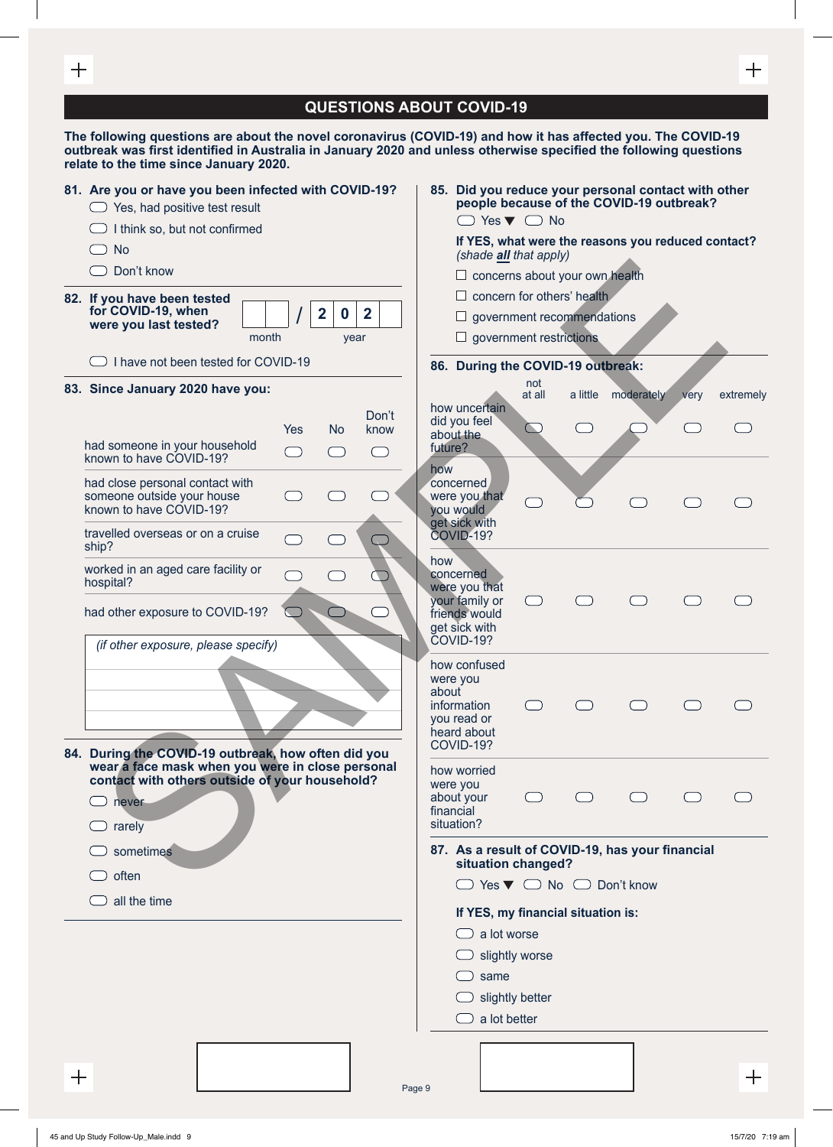| ╅            |                                                                                                                                                                                             | ╅                                                                                                                                                                                                                                                                                               |  |  |  |  |  |  |
|--------------|---------------------------------------------------------------------------------------------------------------------------------------------------------------------------------------------|-------------------------------------------------------------------------------------------------------------------------------------------------------------------------------------------------------------------------------------------------------------------------------------------------|--|--|--|--|--|--|
|              |                                                                                                                                                                                             | <b>QUESTIONS ABOUT COVID-19</b>                                                                                                                                                                                                                                                                 |  |  |  |  |  |  |
|              | relate to the time since January 2020.                                                                                                                                                      | The following questions are about the novel coronavirus (COVID-19) and how it has affected you. The COVID-19<br>outbreak was first identified in Australia in January 2020 and unless otherwise specified the following questions                                                               |  |  |  |  |  |  |
|              | 81. Are you or have you been infected with COVID-19?<br>$\bigcirc$ Yes, had positive test result<br>I think so, but not confirmed<br><b>No</b><br>Don't know<br>82. If you have been tested | 85. Did you reduce your personal contact with other<br>people because of the COVID-19 outbreak?<br>$\Box$ Yes $\nabla$ $\Box$ No<br>If YES, what were the reasons you reduced contact?<br>(shade all that apply)<br>$\Box$ concerns about your own health<br>$\Box$ concern for others' health. |  |  |  |  |  |  |
|              | for COVID-19, when<br>$\overline{2}$<br>$\mathbf{2}$<br>$\mathbf 0$<br>were you last tested?<br>month<br>year                                                                               | $\Box$ government recommendations<br>$\Box$ government restrictions                                                                                                                                                                                                                             |  |  |  |  |  |  |
|              | I have not been tested for COVID-19                                                                                                                                                         | 86. During the COVID-19 outbreak:<br>not                                                                                                                                                                                                                                                        |  |  |  |  |  |  |
|              | 83. Since January 2020 have you:                                                                                                                                                            | at all<br>moderately<br>a little<br>extremely<br>very<br>how uncertain                                                                                                                                                                                                                          |  |  |  |  |  |  |
|              | Don't<br><b>No</b><br>Yes<br>know<br>had someone in your household<br>ᆖ<br>(<br>$\left( \begin{array}{cc} 0 & 0 \\ 0 & 0 \end{array} \right)$<br>known to have COVID-19?                    | did you feel<br>about the<br>future?                                                                                                                                                                                                                                                            |  |  |  |  |  |  |
|              | had close personal contact with<br>someone outside your house<br>known to have COVID-19?                                                                                                    | how<br>concerned<br>were you that<br>you would<br>get sick with                                                                                                                                                                                                                                 |  |  |  |  |  |  |
|              | travelled overseas or on a cruise<br>ship?                                                                                                                                                  | COVID-19?                                                                                                                                                                                                                                                                                       |  |  |  |  |  |  |
|              | worked in an aged care facility or<br>hospital?                                                                                                                                             | how<br>concerned<br>were you that<br>your family or                                                                                                                                                                                                                                             |  |  |  |  |  |  |
|              | had other exposure to COVID-19?<br>(if other exposure, please specify)                                                                                                                      | friends would<br>get sick with<br>COVID-19?                                                                                                                                                                                                                                                     |  |  |  |  |  |  |
|              | 84. During the COVID-19 outbreak, how often did you                                                                                                                                         | how confused<br>were you<br>about<br>information<br>$\bigcap$<br>$\bigcap$<br>you read or<br>heard about<br>COVID-19?                                                                                                                                                                           |  |  |  |  |  |  |
|              | wear a face mask when you were in close personal<br>contact with others outside of your household?<br>never<br>rarely                                                                       | how worried<br>were you<br>about your<br>$\bigcap$<br>$\bigcap$<br>financial<br>situation?                                                                                                                                                                                                      |  |  |  |  |  |  |
|              | sometimes                                                                                                                                                                                   | 87. As a result of COVID-19, has your financial<br>situation changed?                                                                                                                                                                                                                           |  |  |  |  |  |  |
|              | often                                                                                                                                                                                       | $\Box$ Yes $\nabla$ $\Box$ No $\Box$ Don't know                                                                                                                                                                                                                                                 |  |  |  |  |  |  |
|              | all the time                                                                                                                                                                                | If YES, my financial situation is:                                                                                                                                                                                                                                                              |  |  |  |  |  |  |
|              |                                                                                                                                                                                             | $\Box$ a lot worse<br>slightly worse                                                                                                                                                                                                                                                            |  |  |  |  |  |  |
|              |                                                                                                                                                                                             | same                                                                                                                                                                                                                                                                                            |  |  |  |  |  |  |
|              |                                                                                                                                                                                             | $\Box$ slightly better                                                                                                                                                                                                                                                                          |  |  |  |  |  |  |
|              |                                                                                                                                                                                             | a lot better                                                                                                                                                                                                                                                                                    |  |  |  |  |  |  |
|              |                                                                                                                                                                                             |                                                                                                                                                                                                                                                                                                 |  |  |  |  |  |  |
| $\mathrm{+}$ |                                                                                                                                                                                             | ┿<br>Page 9                                                                                                                                                                                                                                                                                     |  |  |  |  |  |  |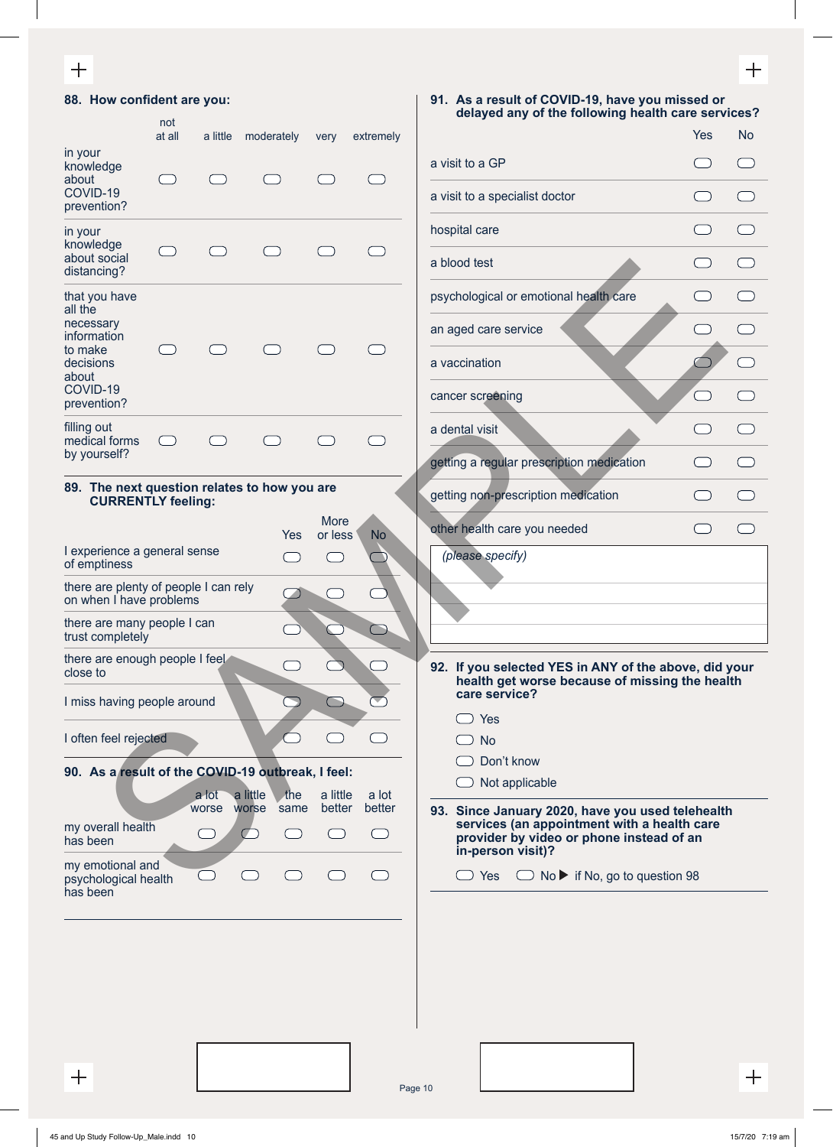### $\qquad \qquad +$

| 88. How confident are you:                                                |               |                |                                  |                        |                                                 | 91. As a result of COVID-19, have you missed or<br>delayed any of the following health care services?                                                            |
|---------------------------------------------------------------------------|---------------|----------------|----------------------------------|------------------------|-------------------------------------------------|------------------------------------------------------------------------------------------------------------------------------------------------------------------|
|                                                                           | not<br>at all | a little       | moderately                       | very                   | extremely                                       | <b>Yes</b><br><b>No</b>                                                                                                                                          |
| in your<br>knowledge                                                      |               |                |                                  |                        |                                                 | a visit to a GP<br>$\left( \begin{array}{c} \end{array} \right)$                                                                                                 |
| about<br>COVID-19<br>prevention?                                          |               |                |                                  |                        |                                                 | a visit to a specialist doctor<br>$(\quad)$                                                                                                                      |
| in your<br>knowledge                                                      |               |                |                                  |                        |                                                 | hospital care                                                                                                                                                    |
| about social<br>distancing?                                               |               |                |                                  |                        | $\overline{\phantom{a}}$                        | a blood test<br>$\Box$                                                                                                                                           |
| that you have<br>all the                                                  |               |                |                                  |                        |                                                 | psychological or emotional health care<br>$($ )<br>$\overline{\phantom{0}}$                                                                                      |
| necessary<br>information                                                  |               |                |                                  |                        |                                                 | an aged care service<br>$\Box$                                                                                                                                   |
| to make<br>decisions<br>about                                             |               |                |                                  |                        |                                                 | a vaccination<br>$\Box$                                                                                                                                          |
| COVID-19<br>prevention?                                                   |               |                |                                  |                        |                                                 | cancer screening                                                                                                                                                 |
| filling out<br>medical forms                                              |               |                |                                  |                        |                                                 | a dental visit<br>$\Box$                                                                                                                                         |
| by yourself?                                                              |               |                |                                  |                        |                                                 | getting a regular prescription medication                                                                                                                        |
| 89. The next question relates to how you are<br><b>CURRENTLY feeling:</b> |               |                |                                  |                        |                                                 | getting non-prescription medication<br>$\Box$                                                                                                                    |
|                                                                           |               |                | Yes                              | <b>More</b><br>or less | <b>No</b>                                       | other health care you needed<br>$\Box$<br>$(\quad)$                                                                                                              |
| I experience a general sense<br>of emptiness                              |               |                | С. Р.                            |                        |                                                 | (please specify)                                                                                                                                                 |
| there are plenty of people I can rely<br>on when I have problems          |               |                |                                  |                        |                                                 |                                                                                                                                                                  |
| there are many people I can<br>trust completely                           |               |                |                                  |                        | $\bigcap$                                       |                                                                                                                                                                  |
| there are enough people I feel<br>close to                                |               |                |                                  | $\bigcup$              |                                                 | 92. If you selected YES in ANY of the above, did your                                                                                                            |
| I miss having people around                                               |               |                | $\mathcal{L}$                    | $\bigcap$              |                                                 | health get worse because of missing the health<br>care service?                                                                                                  |
| I often feel rejected                                                     |               |                |                                  |                        |                                                 | Yes<br><b>No</b>                                                                                                                                                 |
| 90. As a result of the COVID-19 outbreak, I feel:                         |               |                |                                  |                        |                                                 | Don't know                                                                                                                                                       |
|                                                                           |               | a lot<br>worse | a little<br>the<br>worse<br>same | a little<br>better     | a lot<br>better                                 | Not applicable                                                                                                                                                   |
| my overall health<br>has been                                             |               |                | $(\Box)$                         |                        | $\left( \begin{array}{c} 1 \end{array} \right)$ | 93. Since January 2020, have you used telehealth<br>services (an appointment with a health care<br>provider by video or phone instead of an<br>in-person visit)? |
| my emotional and<br>psychological health<br>has been                      |               |                |                                  |                        |                                                 | $\Box$ No $\blacktriangleright$ if No, go to question 98<br>$\bigcirc$ Yes                                                                                       |
|                                                                           |               |                |                                  |                        |                                                 |                                                                                                                                                                  |
|                                                                           |               |                |                                  |                        |                                                 |                                                                                                                                                                  |
|                                                                           |               |                |                                  |                        |                                                 |                                                                                                                                                                  |
|                                                                           |               |                |                                  |                        |                                                 |                                                                                                                                                                  |
|                                                                           |               |                |                                  |                        |                                                 |                                                                                                                                                                  |
| $^{+}$                                                                    |               |                |                                  |                        |                                                 | $\pm$<br>$D0 \sim 10$                                                                                                                                            |

Page 10

 $\qquad \qquad +$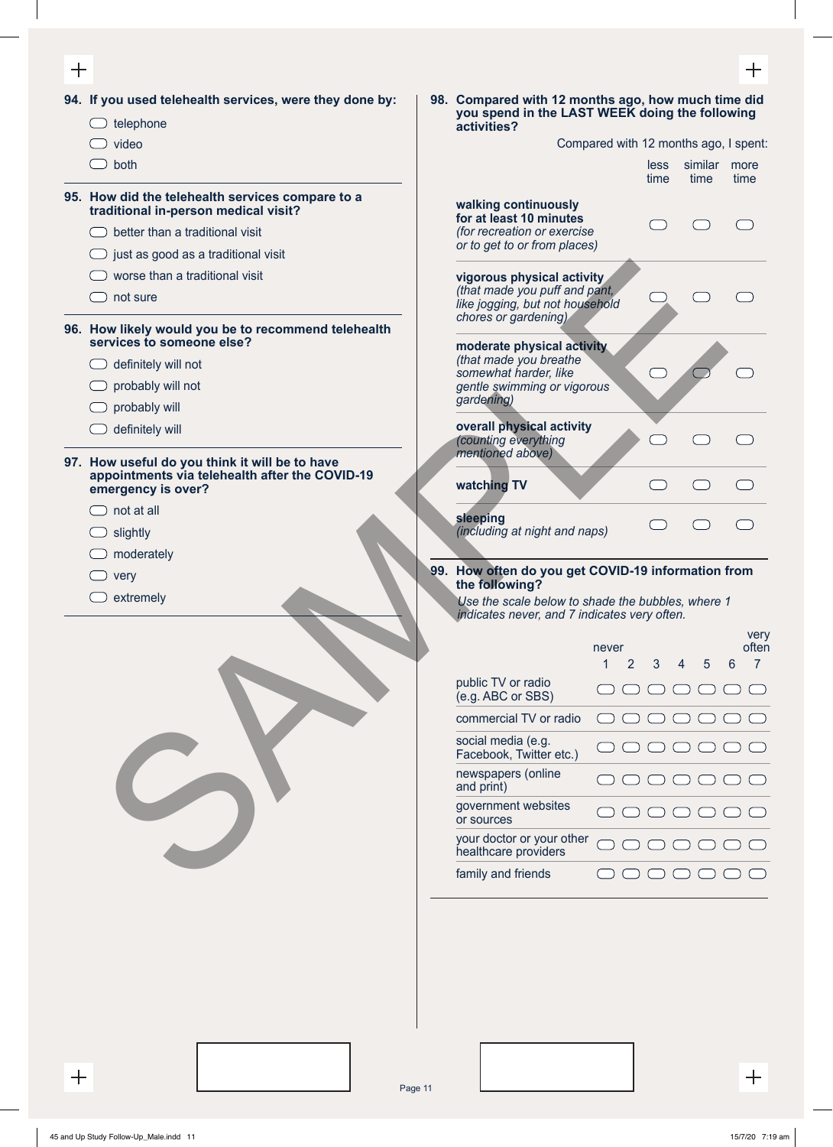| ╅                                                                                                                         |                                                                                                                                                                                                                                                                 |                                                               |                                                                             |                                                                                                                                                                                                                                                                                                                       |      | 十                                                                                                                                                                                                                                                                                                                        |
|---------------------------------------------------------------------------------------------------------------------------|-----------------------------------------------------------------------------------------------------------------------------------------------------------------------------------------------------------------------------------------------------------------|---------------------------------------------------------------|-----------------------------------------------------------------------------|-----------------------------------------------------------------------------------------------------------------------------------------------------------------------------------------------------------------------------------------------------------------------------------------------------------------------|------|--------------------------------------------------------------------------------------------------------------------------------------------------------------------------------------------------------------------------------------------------------------------------------------------------------------------------|
|                                                                                                                           |                                                                                                                                                                                                                                                                 |                                                               |                                                                             |                                                                                                                                                                                                                                                                                                                       |      |                                                                                                                                                                                                                                                                                                                          |
| video                                                                                                                     |                                                                                                                                                                                                                                                                 |                                                               |                                                                             |                                                                                                                                                                                                                                                                                                                       |      |                                                                                                                                                                                                                                                                                                                          |
| $\bigcirc$ both                                                                                                           |                                                                                                                                                                                                                                                                 |                                                               |                                                                             | less<br>time                                                                                                                                                                                                                                                                                                          | time | more<br>time                                                                                                                                                                                                                                                                                                             |
| traditional in-person medical visit?<br>better than a traditional visit<br>$\bigcirc$ just as good as a traditional visit |                                                                                                                                                                                                                                                                 | walking continuously<br>for at least 10 minutes               |                                                                             |                                                                                                                                                                                                                                                                                                                       |      |                                                                                                                                                                                                                                                                                                                          |
| worse than a traditional visit<br>not sure                                                                                |                                                                                                                                                                                                                                                                 | chores or gardening)                                          |                                                                             |                                                                                                                                                                                                                                                                                                                       |      |                                                                                                                                                                                                                                                                                                                          |
| services to someone else?<br>definitely will not<br>probably will not<br>probably will                                    |                                                                                                                                                                                                                                                                 | (that made you breathe<br>somewhat harder, like<br>gardening) |                                                                             |                                                                                                                                                                                                                                                                                                                       |      |                                                                                                                                                                                                                                                                                                                          |
| definitely will                                                                                                           |                                                                                                                                                                                                                                                                 | (counting everything                                          |                                                                             |                                                                                                                                                                                                                                                                                                                       |      |                                                                                                                                                                                                                                                                                                                          |
| appointments via telehealth after the COVID-19<br>emergency is over?                                                      |                                                                                                                                                                                                                                                                 | watching TV                                                   |                                                                             | $\mathcal{L}$                                                                                                                                                                                                                                                                                                         |      |                                                                                                                                                                                                                                                                                                                          |
| not at all<br>slightly                                                                                                    |                                                                                                                                                                                                                                                                 | sleeping                                                      |                                                                             |                                                                                                                                                                                                                                                                                                                       |      |                                                                                                                                                                                                                                                                                                                          |
|                                                                                                                           |                                                                                                                                                                                                                                                                 |                                                               |                                                                             |                                                                                                                                                                                                                                                                                                                       |      |                                                                                                                                                                                                                                                                                                                          |
| very                                                                                                                      |                                                                                                                                                                                                                                                                 | the following?                                                |                                                                             |                                                                                                                                                                                                                                                                                                                       |      |                                                                                                                                                                                                                                                                                                                          |
| extremely                                                                                                                 |                                                                                                                                                                                                                                                                 |                                                               |                                                                             |                                                                                                                                                                                                                                                                                                                       |      |                                                                                                                                                                                                                                                                                                                          |
|                                                                                                                           |                                                                                                                                                                                                                                                                 |                                                               | never<br>$\mathbf{1}$<br>$\overline{2}$                                     | 3                                                                                                                                                                                                                                                                                                                     | 5    | very<br>often<br>$\overline{7}$<br>6                                                                                                                                                                                                                                                                                     |
|                                                                                                                           |                                                                                                                                                                                                                                                                 | public TV or radio<br>(e.g. ABC or SBS)                       |                                                                             |                                                                                                                                                                                                                                                                                                                       |      |                                                                                                                                                                                                                                                                                                                          |
|                                                                                                                           |                                                                                                                                                                                                                                                                 | commercial TV or radio                                        |                                                                             |                                                                                                                                                                                                                                                                                                                       |      |                                                                                                                                                                                                                                                                                                                          |
|                                                                                                                           |                                                                                                                                                                                                                                                                 | social media (e.g.<br>Facebook, Twitter etc.)                 |                                                                             |                                                                                                                                                                                                                                                                                                                       |      |                                                                                                                                                                                                                                                                                                                          |
|                                                                                                                           |                                                                                                                                                                                                                                                                 | and print)                                                    |                                                                             |                                                                                                                                                                                                                                                                                                                       |      |                                                                                                                                                                                                                                                                                                                          |
|                                                                                                                           |                                                                                                                                                                                                                                                                 | government websites<br>or sources                             |                                                                             |                                                                                                                                                                                                                                                                                                                       |      |                                                                                                                                                                                                                                                                                                                          |
|                                                                                                                           |                                                                                                                                                                                                                                                                 | healthcare providers                                          |                                                                             |                                                                                                                                                                                                                                                                                                                       |      |                                                                                                                                                                                                                                                                                                                          |
|                                                                                                                           |                                                                                                                                                                                                                                                                 |                                                               |                                                                             |                                                                                                                                                                                                                                                                                                                       |      |                                                                                                                                                                                                                                                                                                                          |
|                                                                                                                           |                                                                                                                                                                                                                                                                 |                                                               |                                                                             |                                                                                                                                                                                                                                                                                                                       |      | $\pm$                                                                                                                                                                                                                                                                                                                    |
|                                                                                                                           | 94. If you used telehealth services, were they done by:<br>$\Box$ telephone<br>95. How did the telehealth services compare to a<br>96. How likely would you be to recommend telehealth<br>97. How useful do you think it will be to have<br>moderately<br>$\pm$ | Page 11                                                       | activities?<br>mentioned above)<br>newspapers (online<br>family and friends | (for recreation or exercise<br>or to get to or from places)<br>vigorous physical activity<br>(that made you puff and pant,<br>like jogging, but not household<br>moderate physical activity<br>gentle swimming or vigorous<br>overall physical activity<br>(including at night and naps)<br>your doctor or your other |      | 98. Compared with 12 months ago, how much time did<br>you spend in the LAST WEEK doing the following<br>Compared with 12 months ago, I spent:<br>similar<br>99. How often do you get COVID-19 information from<br>Use the scale below to shade the bubbles, where 1<br>indicates never, and 7 indicates very often.<br>4 |